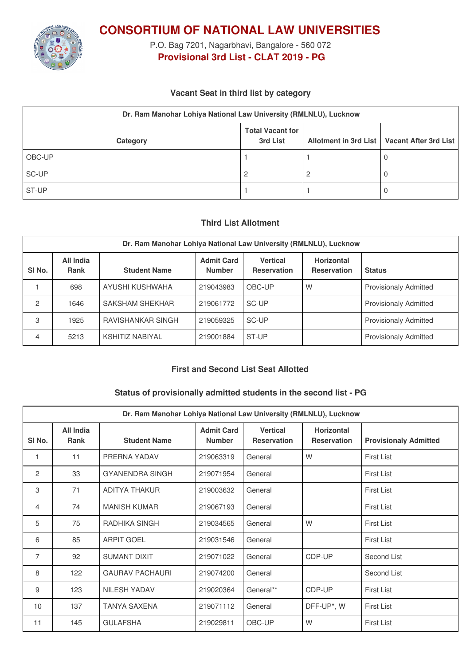

**CONSORTIUM OF NATIONAL LAW UNIVERSITIES**

P.O. Bag 7201, Nagarbhavi, Bangalore - 560 072 **Provisional 3rd List - CLAT 2019 - PG**

# **Vacant Seat in third list by category**

| Dr. Ram Manohar Lohiya National Law University (RMLNLU), Lucknow |                                     |  |                                               |  |  |
|------------------------------------------------------------------|-------------------------------------|--|-----------------------------------------------|--|--|
| Category                                                         | <b>Total Vacant for</b><br>3rd List |  | Allotment in 3rd List   Vacant After 3rd List |  |  |
| OBC-UP                                                           |                                     |  |                                               |  |  |
| SC-UP                                                            |                                     |  |                                               |  |  |
| ST-UP                                                            |                                     |  |                                               |  |  |

# **Third List Allotment**

| Dr. Ram Manohar Lohiya National Law University (RMLNLU), Lucknow |                          |                     |                                    |                                       |                                  |                              |
|------------------------------------------------------------------|--------------------------|---------------------|------------------------------------|---------------------------------------|----------------------------------|------------------------------|
| SI <sub>No.</sub>                                                | All India<br><b>Rank</b> | <b>Student Name</b> | <b>Admit Card</b><br><b>Number</b> | <b>Vertical</b><br><b>Reservation</b> | Horizontal<br><b>Reservation</b> | <b>Status</b>                |
|                                                                  | 698                      | AYUSHI KUSHWAHA     | 219043983                          | OBC-UP                                | W                                | <b>Provisionaly Admitted</b> |
| 2                                                                | 1646                     | SAKSHAM SHEKHAR     | 219061772                          | SC-UP                                 |                                  | <b>Provisionaly Admitted</b> |
| 3                                                                | 1925                     | RAVISHANKAR SINGH   | 219059325                          | SC-UP                                 |                                  | <b>Provisionaly Admitted</b> |
| 4                                                                | 5213                     | KSHITIZ NABIYAL     | 219001884                          | ST-UP                                 |                                  | <b>Provisionaly Admitted</b> |

#### **First and Second List Seat Allotted**

#### **Status of provisionally admitted students in the second list - PG**

| Dr. Ram Manohar Lohiya National Law University (RMLNLU), Lucknow |                          |                        |                                    |                                       |                                         |                              |
|------------------------------------------------------------------|--------------------------|------------------------|------------------------------------|---------------------------------------|-----------------------------------------|------------------------------|
| SI No.                                                           | All India<br><b>Rank</b> | <b>Student Name</b>    | <b>Admit Card</b><br><b>Number</b> | <b>Vertical</b><br><b>Reservation</b> | <b>Horizontal</b><br><b>Reservation</b> | <b>Provisionaly Admitted</b> |
| $\mathbf{1}$                                                     | 11                       | PRERNA YADAV           | 219063319                          | General                               | W                                       | <b>First List</b>            |
| 2                                                                | 33                       | <b>GYANENDRA SINGH</b> | 219071954                          | General                               |                                         | <b>First List</b>            |
| 3                                                                | 71                       | <b>ADITYA THAKUR</b>   | 219003632                          | General                               |                                         | <b>First List</b>            |
| 4                                                                | 74                       | <b>MANISH KUMAR</b>    | 219067193                          | General                               |                                         | <b>First List</b>            |
| 5                                                                | 75                       | RADHIKA SINGH          | 219034565                          | General                               | W                                       | <b>First List</b>            |
| 6                                                                | 85                       | <b>ARPIT GOEL</b>      | 219031546                          | General                               |                                         | <b>First List</b>            |
| $\overline{7}$                                                   | 92                       | SUMANT DIXIT           | 219071022                          | General                               | CDP-UP                                  | Second List                  |
| 8                                                                | 122                      | <b>GAURAV PACHAURI</b> | 219074200                          | General                               |                                         | Second List                  |
| 9                                                                | 123                      | <b>NILESH YADAV</b>    | 219020364                          | General**                             | CDP-UP                                  | <b>First List</b>            |
| 10                                                               | 137                      | <b>TANYA SAXENA</b>    | 219071112                          | General                               | DFF-UP*, W                              | <b>First List</b>            |
| 11                                                               | 145                      | <b>GULAFSHA</b>        | 219029811                          | OBC-UP                                | W                                       | <b>First List</b>            |